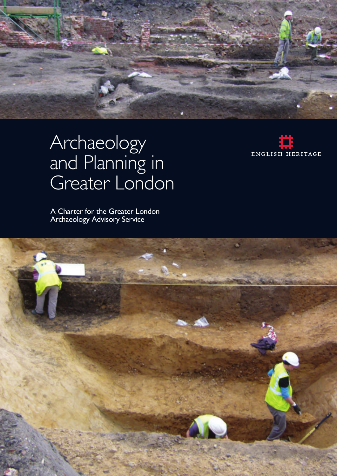

# Archaeology and Planning in Greater London

A Charter for the Greater London Archaeology Advisory Service



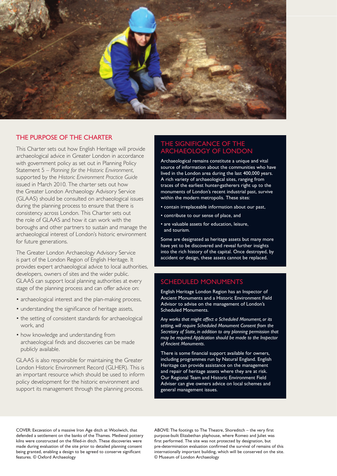

## THE PURPOSE OF THE CHARTER

This Charter sets out how English Heritage will provide archaeological advice in Greater London in accordance with government policy as set out in Planning Policy Statement 5 – *Planning for the Historic Environment*, supported by the *Historic Environment Practice Guide*  issued in March 2010. The charter sets out how the Greater London Archaeology Advisory Service (GLAAS) should be consulted on archaeological issues during the planning process to ensure that there is consistency across London. This Charter sets out the role of GLAAS and how it can work with the boroughs and other partners to sustain and manage the archaeological interest of London's historic environment for future generations.

 The Greater London Archaeology Advisory Service is part of the London Region of English Heritage. It provides expert archaeological advice to local authorities, developers, owners of sites and the wider public. GLAAS can support local planning authorities at every stage of the planning process and can offer advice on:

- archaeological interest and the plan-making process,
- understanding the significance of heritage assets,
- the setting of consistent standards for archaeological work, and
- how knowledge and understanding from archaeological finds and discoveries can be made publicly available.

GLAAS is also responsible for maintaining the Greater London Historic Environment Record (GLHER). This is an important resource which should be used to inform policy development for the historic environment and support its management through the planning process.

#### THE SIGNIFICANCE OF THE ARCHAEOLOGY OF LONDON

Archaeological remains constitute a unique and vital source of information about the communities who have lived in the London area during the last 400,000 years. A rich variety of archaeological sites, ranging from traces of the earliest hunter-gatherers right up to the monuments of London's recent industrial past, survive within the modern metropolis. These sites:

- contain irreplaceable information about our past,
- contribute to our sense of place, and
- are valuable assets for education, leisure, and tourism.

Some are designated as heritage assets but many more have yet to be discovered and reveal further insights into the rich history of the capital. Once destroyed, by accident or design, these assets cannot be replaced.

#### SCHEDULED MONUMENTS

English Heritage London Region has an Inspector of Ancient Monuments and a Historic Environment Field Advisor to advise on the management of London's Scheduled Monuments.

*Any works that might affect a Scheduled Monument, or its setting, will require Scheduled Monument Consent from the Secretary of State, in addition to any planning permission that may be required.Application should be made to the Inspector of Ancient Monuments.* 

There is some financial support available for owners, including programmes run by Natural England. English Heritage can provide assistance on the management and repair of heritage assets where they are at risk. Our Regional Team and Historic Environment Field Adviser can give owners advice on local schemes and general management issues.

COVER: Excavation of a massive Iron Age ditch at Woolwich, that defended a settlement on the banks of the Thames. Medieval pottery kilns were constructed on the filled-in ditch. These discoveries were made during evaluation of the site prior to detailed planning consent being granted, enabling a design to be agreed to conserve significant features. © Oxford Archaeology

ABOVE: The footings to The Theatre, Shoreditch – the very first purpose-built Elizabethan playhouse, where Romeo and Juliet was first performed. The site was not protected by designation, but pre-determination evaluation confirmed the survival of remains of this internationally important building, which will be conserved on the site. © Museum of London Archaeology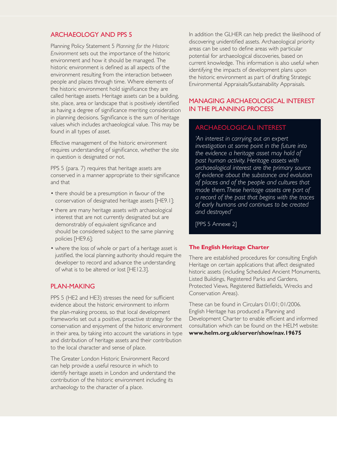## ARCHAEOLOGY AND PPS 5

Planning Policy Statement 5 *Planning for the Historic Environment* sets out the importance of the historic environment and how it should be managed. The historic environment is defined as all aspects of the environment resulting from the interaction between people and places through time. Where elements of the historic environment hold significance they are called heritage assets. Heritage assets can be a building, site, place, area or landscape that is positively identified as having a degree of significance meriting consideration in planning decisions. Significance is the sum of heritage values which includes archaeological value. This may be found in all types of asset.

Effective management of the historic environment requires understanding of significance, whether the site in question is designated or not.

PPS 5 (para. 7) requires that heritage assets are conserved in a manner appropriate to their significance and that

- there should be a presumption in favour of the conservation of designated heritage assets [HE9.1];
- there are many heritage assets with archaeological interest that are not currently designated but are demonstrably of equivalent significance and should be considered subject to the same planning policies [HE9.6];
- • where the loss of whole or part of a heritage asset is justified, the local planning authority should require the developer to record and advance the understanding of what is to be altered or lost [HE12.3].

#### PLAN-MAKING

PPS 5 (HE2 and HE3) stresses the need for sufficient evidence about the historic environment to inform the plan-making process, so that local development frameworks set out a positive, proactive strategy for the conservation and enjoyment of the historic environment in their area, by taking into account the variations in type and distribution of heritage assets and their contribution to the local character and sense of place.

The Greater London Historic Environment Record can help provide a useful resource in which to identify heritage assets in London and understand the contribution of the historic environment including its archaeology to the character of a place.

In addition the GLHER can help predict the likelihood of discovering unidentified assets. Archaeological priority areas can be used to define areas with particular potential for archaeological discoveries, based on current knowledge. This information is also useful when identifying the impacts of development plans upon the historic environment as part of drafting Strategic Environmental Appraisals/Sustainability Appraisals.

# MANAGING ARCHAEOLOGICAL INTEREST IN THE PLANNING PROCESS

# ARCHAEOLOGICAL INTEREST

*'An interest in carrying out an expert investigation at some point in the future into the evidence a heritage asset may hold of past human activity. Heritage assets with archaeological interest are the primary source of evidence about the substance and evolution of places and of the people and cultures that made them.These heritage assets are part of a record of the past that begins with the traces of early humans and continues to be created and destroyed'* 

[PPS 5 Annexe 2]

#### **The English Heritage Charter**

There are established procedures for consulting English Heritage on certain applications that affect designated historic assets (including Scheduled Ancient Monuments, Listed Buildings, Registered Parks and Gardens, Protected Views, Registered Battlefields, Wrecks and Conservation Areas).

 consultation which can be found on the HELM website: These can be found in Circulars 01/01; 01/2006. English Heritage has produced a Planning and Development Charter to enable efficient and informed **www.helm.org.uk/server/show/nav.19675**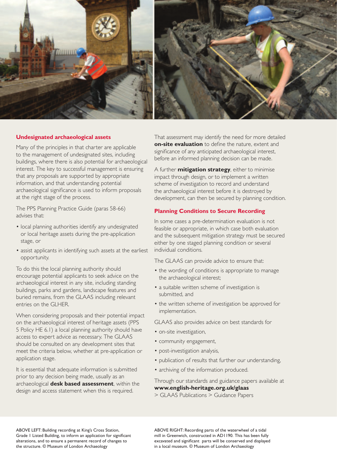

#### **Undesignated archaeological assets**

Many of the principles in that charter are applicable to the management of undesignated sites, including buildings, where there is also potential for archaeological interest. The key to successful management is ensuring that any proposals are supported by appropriate information, and that understanding potential archaeological significance is used to inform proposals at the right stage of the process.

The PPS Planning Practice Guide (paras 58-66) advises that:

- local planning authorities identify any undesignated or local heritage assets during the pre-application stage, or
- assist applicants in identifying such assets at the earliest opportunity.

To do this the local planning authority should encourage potential applicants to seek advice on the archaeological interest in any site, including standing buildings, parks and gardens, landscape features and buried remains, from the GLAAS including relevant entries on the GLHER.

When considering proposals and their potential impact on the archaeological interest of heritage assets (PPS 5 Policy HE 6.1) a local planning authority should have access to expert advice as necessary. The GLAAS should be consulted on any development sites that meet the criteria below, whether at pre-application or application stage.

It is essential that adequate information is submitted prior to any decision being made, usually as an archaeological **desk based assessment**, within the design and access statement when this is required.

 That assessment may identify the need for more detailed **on-site evaluation** to define the nature, extent and significance of any anticipated archaeological interest, before an informed planning decision can be made.

 A further **mitigation strategy**, either to minimise impact through design, or to implement a written scheme of investigation to record and understand the archaeological interest before it is destroyed by development, can then be secured by planning condition.

#### **Planning Conditions to Secure Recording**

In some cases a pre-determination evaluation is not feasible or appropriate, in which case both evaluation and the subsequent mitigation strategy must be secured either by one staged planning condition or several individual conditions.

The GLAAS can provide advice to ensure that:

- the wording of conditions is appropriate to manage the archaeological interest;
- a suitable written scheme of investigation is submitted, and
- the written scheme of investigation be approved for implementation.

GLAAS also provides advice on best standards for

- on-site investigation,
- community engagement,
- post-investigation analysis,
- publication of results that further our understanding,
- archiving of the information produced.

Through our standards and guidance papers available at **www.english-heritage.org.uk/glaas** 

> GLAAS Publications > Guidance Papers

ABOVE LEFT: Building recording at King's Cross Station, Grade 1 Listed Building, to inform an application for significant alterations, and to ensure a permanent record of changes to the structure. © Museum of London Archaeology

ABOVE RIGHT: Recording parts of the waterwheel of a tidal mill in Greenwich, constructed in AD1190. This has been fully excavated and significant parts will be conserved and displayed in a local museum. © Museum of London Archaeology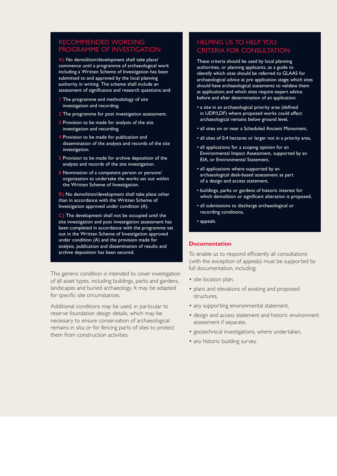# RECOMMENDED WORDING PROGRAMME OF INVESTIGATION

**A)** No demolition/development shall take place/ commence until a programme of archaeological work including a Written Scheme of Investigation has been submitted to and approved by the local planning authority in writing. The scheme shall include an assessment of significance and research questions; and:

- **1** The programme and methodology of site investigation and recording.
- **2** The programme for post investigation assessment.
- **3** Provision to be made for analysis of the site investigation and recording.
- **4** Provision to be made for publication and dissemination of the analysis and records of the site investigation.
- **5** Provision to be made for archive deposition of the analysis and records of the site investigation.
- **6** Nomination of a competent person or persons/ organisation to undertake the works set out within the Written Scheme of Investigation.

**B)** No demolition/development shall take place other than in accordance with the Written Scheme of Investigation approved under condition (A).

**C)** The development shall not be occupied until the site investigation and post investigation assessment has been completed in accordance with the programme set out in the Written Scheme of Investigation approved under condition (A) and the provision made for analysis, publication and dissemination of results and archive deposition has been secured.

This generic condition is intended to cover investigation of all asset types, including buildings, parks and gardens, landscapes and buried archaeology. It may be adapted for specific site circumstances.

Additional conditions may be used, in particular to reserve foundation design details, which may be necessary to ensure conservation of archaeological remains in situ; or for fencing parts of sites to protect them from construction activities.

# HELPING US TO HELP YOU: CRITERIA FOR CONSULTATION

 These criteria should be used by local planning authorities, or planning applicants, as a guide to identify which sites should be referred to GLAAS for archaeological advice at pre application stage; which sites should have archaeological statements to validate them at application; and which sites require expert advice before and after determination of an application:

- a site in an archaeological priority area (defined in UDP/LDF) where proposed works could affect archaeological remains below ground level, �
- all sites on or near a Scheduled Ancient Monument,
- all sites of 0.4 hectares or larger not in a priority area,
- all applications for a scoping opinion for an Environmental Impact Assessment, supported by an EIA, or Environmental Statement,
- all applications where supported by an archaeological desk-based assessment as part of a design and access statement,
- buildings, parks or gardens of historic interest for which demolition or significant alteration is proposed,
- all submissions to discharge archaeological or recording conditions,

• appeals.

#### **Documentation**

To enable us to respond efficiently all consultations (with the exception of appeals) must be supported by full documentation, including:

- site location plan,
- plans and elevations of existing and proposed structures,
- any supporting environmental statement,
- design and access statement and historic environment assessment if separate,
- geotechnical investigations, where undertaken,
- any historic building survey.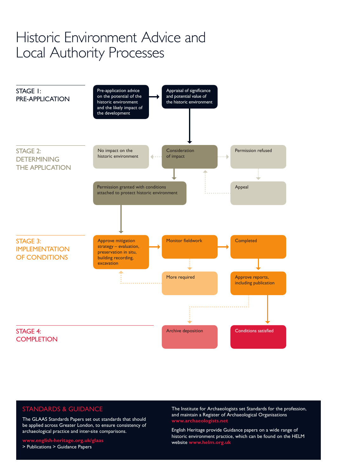# Historic Environment Advice and Local Authority Processes



# STANDARDS & GUIDANCE

The GLAAS Standards Papers set out standards that should be applied across Greater London, to ensure consistency of archaeological practice and inter-site comparisons.

**www.english-heritage.org.uk/glaas** > Publications > Guidance Papers

The Institute for Archaeologists set Standards for the profession, and maintain a Register of Archaeological Organisations **www.archaeologists.net**

English Heritage provide Guidance papers on a wide range of historic environment practice, which can be found on the HELM website **www.helm.org.uk**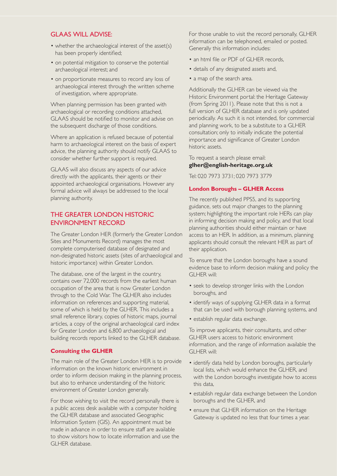#### GLAAS WILL ADVISE:

- whether the archaeological interest of the asset(s) has been properly identified;
- on potential mitigation to conserve the potential archaeological interest; and
- on proportionate measures to record any loss of archaeological interest through the written scheme of investigation, where appropriate.

When planning permission has been granted with archaeological or recording conditions attached, GLAAS should be notified to monitor and advise on the subsequent discharge of those conditions.

Where an application is refused because of potential harm to archaeological interest on the basis of expert advice, the planning authority should notify GLAAS to consider whether further support is required.

GLAAS will also discuss any aspects of our advice directly with the applicants, their agents or their appointed archaeological organisations. However any formal advice will always be addressed to the local planning authority.

### THE GREATER LONDON HISTORIC ENVIRONMENT RECORD

 The Greater London HER (formerly the Greater London Sites and Monuments Record) manages the most complete computerised database of designated and non-designated historic assets (sites of archaeological and historic importance) within Greater London.

The database, one of the largest in the country, contains over 72,000 records from the earliest human occupation of the area that is now Greater London through to the Cold War. The GLHER also includes information on references and supporting material, some of which is held by the GLHER. This includes a small reference library, copies of historic maps, journal articles, a copy of the original archaeological card index for Greater London and 6,800 archaeological and building records reports linked to the GLHER database.

#### **Consulting the GLHER**

The main role of the Greater London HER is to provide information on the known historic environment in order to inform decision making in the planning process, but also to enhance understanding of the historic environment of Greater London generally.

For those wishing to visit the record personally there is a public access desk available with a computer holding the GLHER database and associated Geographic Information System (GIS). An appointment must be made in advance in order to ensure staff are available to show visitors how to locate information and use the GLHER database.

For those unable to visit the record personally, GLHER information can be telephoned, emailed or posted. Generally this information includes:

- an html file or PDF of GLHER records,
- details of any designated assets and,
- a map of the search area.

Additionally the GLHER can be viewed via the Historic Environment portal: the Heritage Gateway (from Spring 2011). Please note that this is not a full version of GLHER database and is only updated periodically. As such it is not intended, for commercial and planning work, to be a substitute to a GLHER consultation; only to initially indicate the potential importance and significance of Greater London historic assets.

#### To request a search please email: **glher@english-heritage.org.uk**

Tel: 020 7973 3731; 020 7973 3779

#### **London Boroughs – GLHER Access**

The recently published PPS5, and its supporting guidance, sets out major changes to the planning system; highlighting the important role HERs can play in informing decision making and policy, and that local planning authorities should either maintain or have access to an HER. In addition, as a minimum, planning applicants should consult the relevant HER as part of their application.

To ensure that the London boroughs have a sound evidence base to inform decision making and policy the GLHER will:

- seek to develop stronger links with the London boroughs, and
- identify ways of supplying GLHER data in a format that can be used with borough planning systems, and
- establish regular data exchange.

To improve applicants, their consultants, and other GLHER users access to historic environment information, and the range of information available the GLHER will:

- identify data held by London boroughs, particularly local lists, which would enhance the GLHER, and with the London boroughs investigate how to access this data,
- establish regular data exchange between the London boroughs and the GLHER, and
- ensure that GLHER information on the Heritage Gateway is updated no less that four times a year.